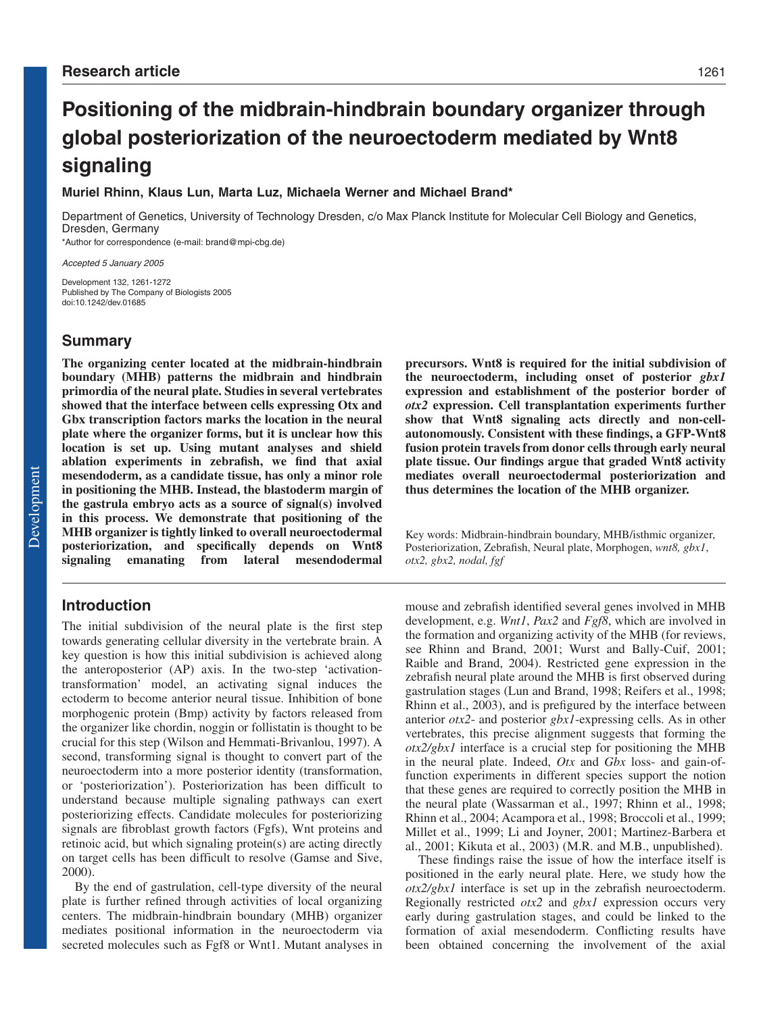# **Positioning of the midbrain-hindbrain boundary organizer through global posteriorization of the neuroectoderm mediated by Wnt8 signaling**

## **Muriel Rhinn, Klaus Lun, Marta Luz, Michaela Werner and Michael Brand\***

Department of Genetics, University of Technology Dresden, c/o Max Planck Institute for Molecular Cell Biology and Genetics, Dresden, Germany \*Author for correspondence (e-mail: brand@mpi-cbg.de)

Accepted 5 January 2005

Development 132, 1261-1272 Published by The Company of Biologists 2005 doi:10.1242/dev.01685

## **Summary**

**The organizing center located at the midbrain-hindbrain boundary (MHB) patterns the midbrain and hindbrain primordia of the neural plate. Studies in several vertebrates showed that the interface between cells expressing Otx and Gbx transcription factors marks the location in the neural plate where the organizer forms, but it is unclear how this location is set up. Using mutant analyses and shield ablation experiments in zebrafish, we find that axial mesendoderm, as a candidate tissue, has only a minor role in positioning the MHB. Instead, the blastoderm margin of the gastrula embryo acts as a source of signal(s) involved in this process. We demonstrate that positioning of the MHB organizer is tightly linked to overall neuroectodermal posteriorization, and specifically depends on Wnt8 signaling emanating from lateral mesendodermal**

# **Introduction**

The initial subdivision of the neural plate is the first step towards generating cellular diversity in the vertebrate brain. A key question is how this initial subdivision is achieved along the anteroposterior (AP) axis. In the two-step 'activationtransformation' model, an activating signal induces the ectoderm to become anterior neural tissue. Inhibition of bone morphogenic protein (Bmp) activity by factors released from the organizer like chordin, noggin or follistatin is thought to be crucial for this step (Wilson and Hemmati-Brivanlou, 1997). A second, transforming signal is thought to convert part of the neuroectoderm into a more posterior identity (transformation, or 'posteriorization'). Posteriorization has been difficult to understand because multiple signaling pathways can exert posteriorizing effects. Candidate molecules for posteriorizing signals are fibroblast growth factors (Fgfs), Wnt proteins and retinoic acid, but which signaling protein(s) are acting directly on target cells has been difficult to resolve (Gamse and Sive, 2000).

By the end of gastrulation, cell-type diversity of the neural plate is further refined through activities of local organizing centers. The midbrain-hindbrain boundary (MHB) organizer mediates positional information in the neuroectoderm via secreted molecules such as Fgf8 or Wnt1. Mutant analyses in **precursors. Wnt8 is required for the initial subdivision of the neuroectoderm, including onset of posterior** *gbx1* **expression and establishment of the posterior border of** *otx2* **expression. Cell transplantation experiments further show that Wnt8 signaling acts directly and non-cellautonomously. Consistent with these findings, a GFP-Wnt8 fusion protein travels from donor cells through early neural plate tissue. Our findings argue that graded Wnt8 activity mediates overall neuroectodermal posteriorization and thus determines the location of the MHB organizer.**

Key words: Midbrain-hindbrain boundary, MHB/isthmic organizer, Posteriorization, Zebrafish, Neural plate, Morphogen, *wnt8, gbx1*, *otx2, gbx2, nodal, fgf*

mouse and zebrafish identified several genes involved in MHB development, e.g. *Wnt1*, *Pax2* and *Fgf8*, which are involved in the formation and organizing activity of the MHB (for reviews, see Rhinn and Brand, 2001; Wurst and Bally-Cuif, 2001; Raible and Brand, 2004). Restricted gene expression in the zebrafish neural plate around the MHB is first observed during gastrulation stages (Lun and Brand, 1998; Reifers et al., 1998; Rhinn et al., 2003), and is prefigured by the interface between anterior *otx2*- and posterior *gbx1*-expressing cells. As in other vertebrates, this precise alignment suggests that forming the *otx2/gbx1* interface is a crucial step for positioning the MHB in the neural plate. Indeed, *Otx* and *Gbx* loss- and gain-offunction experiments in different species support the notion that these genes are required to correctly position the MHB in the neural plate (Wassarman et al., 1997; Rhinn et al., 1998; Rhinn et al., 2004; Acampora et al., 1998; Broccoli et al., 1999; Millet et al., 1999; Li and Joyner, 2001; Martinez-Barbera et al., 2001; Kikuta et al., 2003) (M.R. and M.B., unpublished).

These findings raise the issue of how the interface itself is positioned in the early neural plate. Here, we study how the *otx2/gbx1* interface is set up in the zebrafish neuroectoderm. Regionally restricted *otx2* and *gbx1* expression occurs very early during gastrulation stages, and could be linked to the formation of axial mesendoderm. Conflicting results have been obtained concerning the involvement of the axial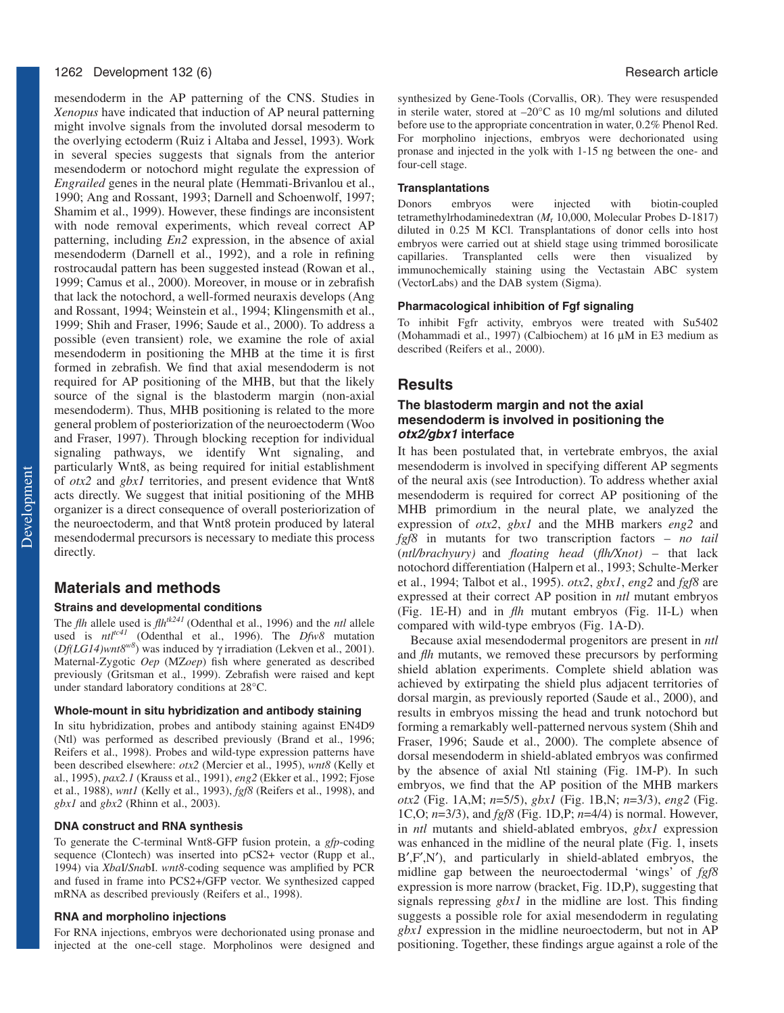#### 1262 Development 132 (6) Research article

mesendoderm in the AP patterning of the CNS. Studies in *Xenopus* have indicated that induction of AP neural patterning might involve signals from the involuted dorsal mesoderm to the overlying ectoderm (Ruiz i Altaba and Jessel, 1993). Work in several species suggests that signals from the anterior mesendoderm or notochord might regulate the expression of *Engrailed* genes in the neural plate (Hemmati-Brivanlou et al., 1990; Ang and Rossant, 1993; Darnell and Schoenwolf, 1997; Shamim et al., 1999). However, these findings are inconsistent with node removal experiments, which reveal correct AP patterning, including *En2* expression, in the absence of axial mesendoderm (Darnell et al., 1992), and a role in refining rostrocaudal pattern has been suggested instead (Rowan et al., 1999; Camus et al., 2000). Moreover, in mouse or in zebrafish that lack the notochord, a well-formed neuraxis develops (Ang and Rossant, 1994; Weinstein et al., 1994; Klingensmith et al., 1999; Shih and Fraser, 1996; Saude et al., 2000). To address a possible (even transient) role, we examine the role of axial mesendoderm in positioning the MHB at the time it is first formed in zebrafish. We find that axial mesendoderm is not required for AP positioning of the MHB, but that the likely source of the signal is the blastoderm margin (non-axial mesendoderm). Thus, MHB positioning is related to the more general problem of posteriorization of the neuroectoderm (Woo and Fraser, 1997). Through blocking reception for individual signaling pathways, we identify Wnt signaling, and particularly Wnt8, as being required for initial establishment of *otx2* and *gbx1* territories, and present evidence that Wnt8 acts directly. We suggest that initial positioning of the MHB organizer is a direct consequence of overall posteriorization of the neuroectoderm, and that Wnt8 protein produced by lateral mesendodermal precursors is necessary to mediate this process directly.

## **Materials and methods**

#### **Strains and developmental conditions**

The *flh* allele used is *flhtk241* (Odenthal et al., 1996) and the *ntl* allele used is *ntltc41* (Odenthal et al., 1996). The *Dfw8* mutation (*Df(LG14)wnt8w8*) was induced by γ irradiation (Lekven et al., 2001). Maternal-Zygotic *Oep* (MZ*oep*) fish where generated as described previously (Gritsman et al., 1999). Zebrafish were raised and kept under standard laboratory conditions at 28°C.

#### **Whole-mount in situ hybridization and antibody staining**

In situ hybridization, probes and antibody staining against EN4D9 (Ntl) was performed as described previously (Brand et al., 1996; Reifers et al., 1998). Probes and wild-type expression patterns have been described elsewhere: *otx2* (Mercier et al., 1995), *wnt8* (Kelly et al., 1995), *pax2.1* (Krauss et al., 1991), *eng2* (Ekker et al., 1992; Fjose et al., 1988), *wnt1* (Kelly et al., 1993), *fgf8* (Reifers et al., 1998), and *gbx1* and *gbx2* (Rhinn et al., 2003).

#### **DNA construct and RNA synthesis**

To generate the C-terminal Wnt8-GFP fusion protein, a *gfp*-coding sequence (Clontech) was inserted into pCS2+ vector (Rupp et al., 1994) via *Xba*I/*Sna*bI. *wnt8*-coding sequence was amplified by PCR and fused in frame into PCS2+/GFP vector. We synthesized capped mRNA as described previously (Reifers et al., 1998).

#### **RNA and morpholino injections**

For RNA injections, embryos were dechorionated using pronase and injected at the one-cell stage. Morpholinos were designed and synthesized by Gene-Tools (Corvallis, OR). They were resuspended in sterile water, stored at –20°C as 10 mg/ml solutions and diluted before use to the appropriate concentration in water, 0.2% Phenol Red. For morpholino injections, embryos were dechorionated using pronase and injected in the yolk with 1-15 ng between the one- and four-cell stage.

#### **Transplantations**

Donors embryos were injected with biotin-coupled tetramethylrhodaminedextran (*M*<sup>r</sup> 10,000, Molecular Probes D-1817) diluted in 0.25 M KCl. Transplantations of donor cells into host embryos were carried out at shield stage using trimmed borosilicate capillaries. Transplanted cells were then visualized by immunochemically staining using the Vectastain ABC system (VectorLabs) and the DAB system (Sigma).

#### **Pharmacological inhibition of Fgf signaling**

To inhibit Fgfr activity, embryos were treated with Su5402 (Mohammadi et al., 1997) (Calbiochem) at 16 µM in E3 medium as described (Reifers et al., 2000).

#### **Results**

## **The blastoderm margin and not the axial mesendoderm is involved in positioning the otx2/gbx1 interface**

It has been postulated that, in vertebrate embryos, the axial mesendoderm is involved in specifying different AP segments of the neural axis (see Introduction). To address whether axial mesendoderm is required for correct AP positioning of the MHB primordium in the neural plate, we analyzed the expression of *otx2*, *gbx1* and the MHB markers *eng2* and *fgf8* in mutants for two transcription factors – *no tail* (*ntl/brachyury)* and *floating head* (*flh/Xnot)* – that lack notochord differentiation (Halpern et al., 1993; Schulte-Merker et al., 1994; Talbot et al., 1995). *otx2*, *gbx1*, *eng2* and *fgf8* are expressed at their correct AP position in *ntl* mutant embryos (Fig. 1E-H) and in *flh* mutant embryos (Fig. 1I-L) when compared with wild-type embryos (Fig. 1A-D).

Because axial mesendodermal progenitors are present in *ntl* and *flh* mutants, we removed these precursors by performing shield ablation experiments. Complete shield ablation was achieved by extirpating the shield plus adjacent territories of dorsal margin, as previously reported (Saude et al., 2000), and results in embryos missing the head and trunk notochord but forming a remarkably well-patterned nervous system (Shih and Fraser, 1996; Saude et al., 2000). The complete absence of dorsal mesendoderm in shield-ablated embryos was confirmed by the absence of axial Ntl staining (Fig. 1M-P). In such embryos, we find that the AP position of the MHB markers *otx2* (Fig. 1A,M; *n*=5/5), *gbx1* (Fig. 1B,N; *n*=3/3), *eng2* (Fig. 1C,O; *n*=3/3), and *fgf8* (Fig. 1D,P; *n*=4/4) is normal. However, in *ntl* mutants and shield-ablated embryos, *gbx1* expression was enhanced in the midline of the neural plate (Fig. 1, insets B′,F′,N′), and particularly in shield-ablated embryos, the midline gap between the neuroectodermal 'wings' of *fgf8* expression is more narrow (bracket, Fig. 1D,P), suggesting that signals repressing *gbx1* in the midline are lost. This finding suggests a possible role for axial mesendoderm in regulating *gbx1* expression in the midline neuroectoderm, but not in AP positioning. Together, these findings argue against a role of the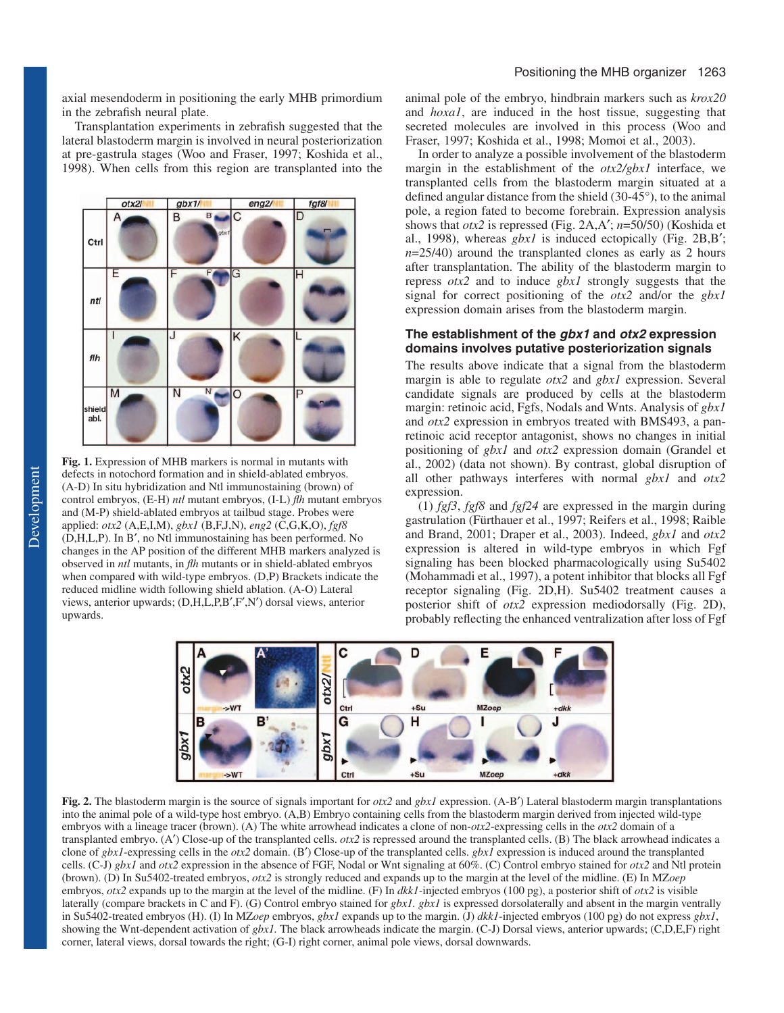axial mesendoderm in positioning the early MHB primordium in the zebrafish neural plate.

Transplantation experiments in zebrafish suggested that the lateral blastoderm margin is involved in neural posteriorization at pre-gastrula stages (Woo and Fraser, 1997; Koshida et al., 1998). When cells from this region are transplanted into the



**Fig. 1.** Expression of MHB markers is normal in mutants with defects in notochord formation and in shield-ablated embryos. (A-D) In situ hybridization and Ntl immunostaining (brown) of control embryos, (E-H) *ntl* mutant embryos, (I-L) *flh* mutant embryos and (M-P) shield-ablated embryos at tailbud stage. Probes were applied: *otx2* (A,E,I,M), *gbx1* (B,F,J,N), *eng2* (C,G,K,O), *fgf8* (D,H,L,P). In B′, no Ntl immunostaining has been performed. No changes in the AP position of the different MHB markers analyzed is observed in *ntl* mutants, in *flh* mutants or in shield-ablated embryos when compared with wild-type embryos. (D,P) Brackets indicate the reduced midline width following shield ablation. (A-O) Lateral views, anterior upwards; (D,H,L,P,B′,F′,N′) dorsal views, anterior upwards.

animal pole of the embryo, hindbrain markers such as *krox20* and *hoxa1*, are induced in the host tissue, suggesting that secreted molecules are involved in this process (Woo and Fraser, 1997; Koshida et al., 1998; Momoi et al., 2003).

In order to analyze a possible involvement of the blastoderm margin in the establishment of the *otx2/gbx1* interface, we transplanted cells from the blastoderm margin situated at a defined angular distance from the shield (30-45°), to the animal pole, a region fated to become forebrain. Expression analysis shows that *otx2* is repressed (Fig. 2A,A′; *n*=50/50) (Koshida et al., 1998), whereas *gbx1* is induced ectopically (Fig. 2B,B′;  $n=25/40$ ) around the transplanted clones as early as 2 hours after transplantation. The ability of the blastoderm margin to repress *otx2* and to induce *gbx1* strongly suggests that the signal for correct positioning of the *otx2* and/or the *gbx1* expression domain arises from the blastoderm margin.

#### **The establishment of the gbx1 and otx2 expression domains involves putative posteriorization signals**

The results above indicate that a signal from the blastoderm margin is able to regulate *otx2* and *gbx1* expression. Several candidate signals are produced by cells at the blastoderm margin: retinoic acid, Fgfs, Nodals and Wnts. Analysis of *gbx1* and *otx2* expression in embryos treated with BMS493, a panretinoic acid receptor antagonist, shows no changes in initial positioning of *gbx1* and *otx2* expression domain (Grandel et al., 2002) (data not shown). By contrast, global disruption of all other pathways interferes with normal *gbx1* and *otx2* expression.

(1) *fgf3*, *fgf8* and *fgf24* are expressed in the margin during gastrulation (Fürthauer et al., 1997; Reifers et al., 1998; Raible and Brand, 2001; Draper et al., 2003). Indeed, *gbx1* and *otx2* expression is altered in wild-type embryos in which Fgf signaling has been blocked pharmacologically using Su5402 (Mohammadi et al., 1997), a potent inhibitor that blocks all Fgf receptor signaling (Fig. 2D,H). Su5402 treatment causes a posterior shift of *otx2* expression mediodorsally (Fig. 2D), probably reflecting the enhanced ventralization after loss of Fgf



**Fig. 2.** The blastoderm margin is the source of signals important for *otx2* and *gbx1* expression. (A-B′) Lateral blastoderm margin transplantations into the animal pole of a wild-type host embryo. (A,B) Embryo containing cells from the blastoderm margin derived from injected wild-type embryos with a lineage tracer (brown). (A) The white arrowhead indicates a clone of non-*otx2*-expressing cells in the *otx2* domain of a transplanted embryo. (A′) Close-up of the transplanted cells. *otx2* is repressed around the transplanted cells. (B) The black arrowhead indicates a clone of *gbx1*-expressing cells in the *otx2* domain. (B′) Close-up of the transplanted cells. *gbx1* expression is induced around the transplanted cells. (C-J) *gbx1* and *otx2* expression in the absence of FGF, Nodal or Wnt signaling at 60%. (C) Control embryo stained for *otx2* and Ntl protein (brown). (D) In Su5402-treated embryos, *otx2* is strongly reduced and expands up to the margin at the level of the midline. (E) In MZ*oep* embryos, *otx2* expands up to the margin at the level of the midline. (F) In *dkk1-*injected embryos (100 pg), a posterior shift of *otx2* is visible laterally (compare brackets in C and F). (G) Control embryo stained for *gbx1. gbx1* is expressed dorsolaterally and absent in the margin ventrally in Su5402-treated embryos (H). (I) In MZ*oep* embryos, *gbx1* expands up to the margin. (J) *dkk1-*injected embryos (100 pg) do not express *gbx1*, showing the Wnt-dependent activation of *gbx1.* The black arrowheads indicate the margin. (C-J) Dorsal views, anterior upwards; (C,D,E,F) right corner, lateral views, dorsal towards the right; (G-I) right corner, animal pole views, dorsal downwards.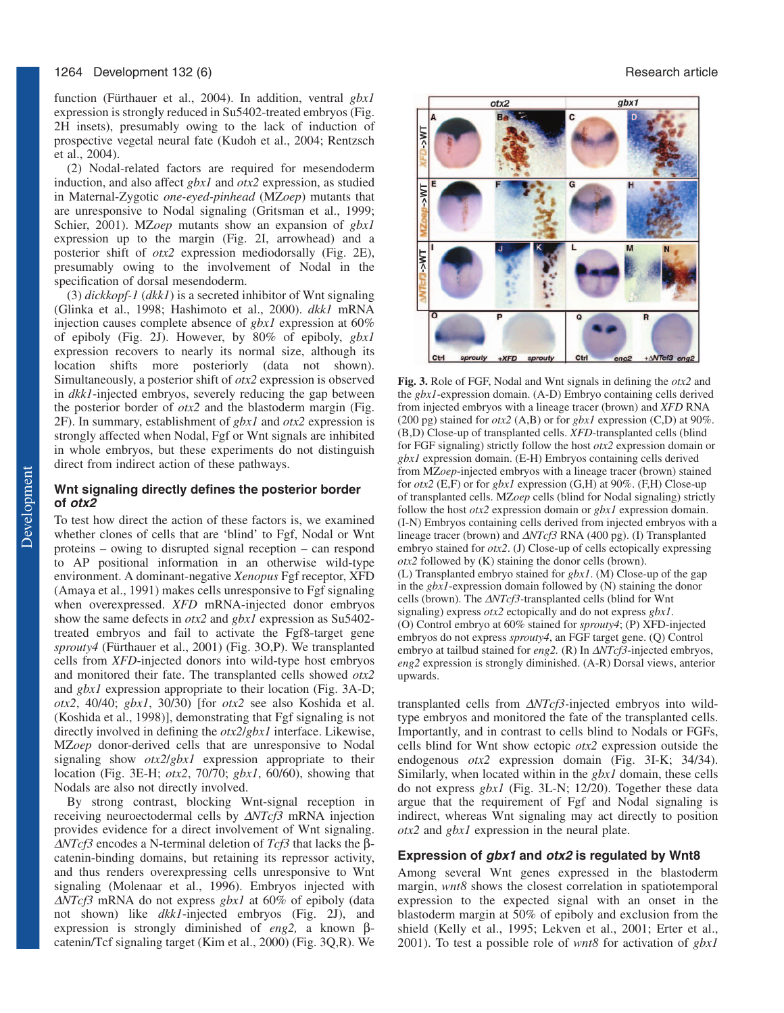function (Fürthauer et al., 2004). In addition, ventral *gbx1* expression is strongly reduced in Su5402-treated embryos (Fig. 2H insets), presumably owing to the lack of induction of prospective vegetal neural fate (Kudoh et al., 2004; Rentzsch et al., 2004).

(2) Nodal-related factors are required for mesendoderm induction, and also affect *gbx1* and *otx2* expression, as studied in Maternal-Zygotic *one-eyed-pinhead* (MZ*oep*) mutants that are unresponsive to Nodal signaling (Gritsman et al., 1999; Schier, 2001). MZ*oep* mutants show an expansion of *gbx1* expression up to the margin (Fig. 2I, arrowhead) and a posterior shift of *otx2* expression mediodorsally (Fig. 2E), presumably owing to the involvement of Nodal in the specification of dorsal mesendoderm.

(3) *dickkopf-1* (*dkk1*) is a secreted inhibitor of Wnt signaling (Glinka et al., 1998; Hashimoto et al., 2000). *dkk1* mRNA injection causes complete absence of *gbx1* expression at 60% of epiboly (Fig. 2J). However, by 80% of epiboly, *gbx1* expression recovers to nearly its normal size, although its location shifts more posteriorly (data not shown). Simultaneously, a posterior shift of *otx2* expression is observed in *dkk1*-injected embryos, severely reducing the gap between the posterior border of *otx2* and the blastoderm margin (Fig. 2F). In summary, establishment of *gbx1* and *otx2* expression is strongly affected when Nodal, Fgf or Wnt signals are inhibited in whole embryos, but these experiments do not distinguish direct from indirect action of these pathways.

## **Wnt signaling directly defines the posterior border of otx2**

To test how direct the action of these factors is, we examined whether clones of cells that are 'blind' to Fgf, Nodal or Wnt proteins – owing to disrupted signal reception – can respond to AP positional information in an otherwise wild-type environment. A dominant-negative *Xenopus* Fgf receptor, XFD (Amaya et al., 1991) makes cells unresponsive to Fgf signaling when overexpressed. *XFD* mRNA-injected donor embryos show the same defects in *otx2* and *gbx1* expression as Su5402 treated embryos and fail to activate the Fgf8-target gene *sprouty4* (Fürthauer et al., 2001) (Fig. 3O,P). We transplanted cells from *XFD*-injected donors into wild-type host embryos and monitored their fate. The transplanted cells showed *otx2* and *gbx1* expression appropriate to their location (Fig. 3A-D; *otx2*, 40/40; *gbx1*, 30/30) [for *otx2* see also Koshida et al. (Koshida et al., 1998)], demonstrating that Fgf signaling is not directly involved in defining the *otx2*/*gbx1* interface. Likewise, MZ*oep* donor-derived cells that are unresponsive to Nodal signaling show *otx2*/*gbx1* expression appropriate to their location (Fig. 3E-H; *otx2*, 70/70; *gbx1*, 60/60), showing that Nodals are also not directly involved.

By strong contrast, blocking Wnt-signal reception in receiving neuroectodermal cells by ∆*NTcf3* mRNA injection provides evidence for a direct involvement of Wnt signaling. <sup>∆</sup>*NTcf3* encodes a N-terminal deletion of *Tcf3* that lacks the βcatenin-binding domains, but retaining its repressor activity, and thus renders overexpressing cells unresponsive to Wnt signaling (Molenaar et al., 1996). Embryos injected with <sup>∆</sup>*NTcf3* mRNA do not express *gbx1* at 60% of epiboly (data not shown) like *dkk1*-injected embryos (Fig. 2J), and expression is strongly diminished of *eng2,* a known βcatenin/Tcf signaling target (Kim et al., 2000) (Fig. 3Q,R). We



**Fig. 3.** Role of FGF, Nodal and Wnt signals in defining the *otx2* and the *gbx1*-expression domain. (A-D) Embryo containing cells derived from injected embryos with a lineage tracer (brown) and *XFD* RNA (200 pg) stained for *otx2* (A,B) or for *gbx1* expression (C,D) at 90%. (B,D) Close-up of transplanted cells. *XFD*-transplanted cells (blind for FGF signaling) strictly follow the host *otx2* expression domain or *gbx1* expression domain. (E-H) Embryos containing cells derived from MZ*oep*-injected embryos with a lineage tracer (brown) stained for *otx2* (E,F) or for *gbx1* expression (G,H) at 90%. (F,H) Close-up of transplanted cells. MZ*oep* cells (blind for Nodal signaling) strictly follow the host *otx2* expression domain or *gbx1* expression domain. (I-N) Embryos containing cells derived from injected embryos with a lineage tracer (brown) and ∆*NTcf3* RNA (400 pg). (I) Transplanted embryo stained for *otx2*. (J) Close-up of cells ectopically expressing *otx2* followed by (K) staining the donor cells (brown). (L) Transplanted embryo stained for *gbx1*. (M) Close-up of the gap in the *gbx1*-expression domain followed by (N) staining the donor cells (brown). The ∆*NTcf3-*transplanted cells (blind for Wnt signaling) express *otx2* ectopically and do not express *gbx1*. (O) Control embryo at 60% stained for *sprouty4*; (P) XFD-injected embryos do not express *sprouty4*, an FGF target gene. (Q) Control embryo at tailbud stained for *eng2.* (R) In ∆*NTcf3*-injected embryos, *eng2* expression is strongly diminished. (A-R) Dorsal views, anterior upwards.

transplanted cells from ∆*NTcf3-*injected embryos into wildtype embryos and monitored the fate of the transplanted cells. Importantly, and in contrast to cells blind to Nodals or FGFs, cells blind for Wnt show ectopic *otx2* expression outside the endogenous *otx2* expression domain (Fig. 3I-K; 34/34). Similarly, when located within in the *gbx1* domain, these cells do not express *gbx1* (Fig. 3L-N; 12/20). Together these data argue that the requirement of Fgf and Nodal signaling is indirect, whereas Wnt signaling may act directly to position *otx2* and *gbx1* expression in the neural plate.

#### **Expression of gbx1 and otx2 is regulated by Wnt8**

Among several Wnt genes expressed in the blastoderm margin, *wnt8* shows the closest correlation in spatiotemporal expression to the expected signal with an onset in the blastoderm margin at 50% of epiboly and exclusion from the shield (Kelly et al., 1995; Lekven et al., 2001; Erter et al., 2001). To test a possible role of *wnt8* for activation of *gbx1*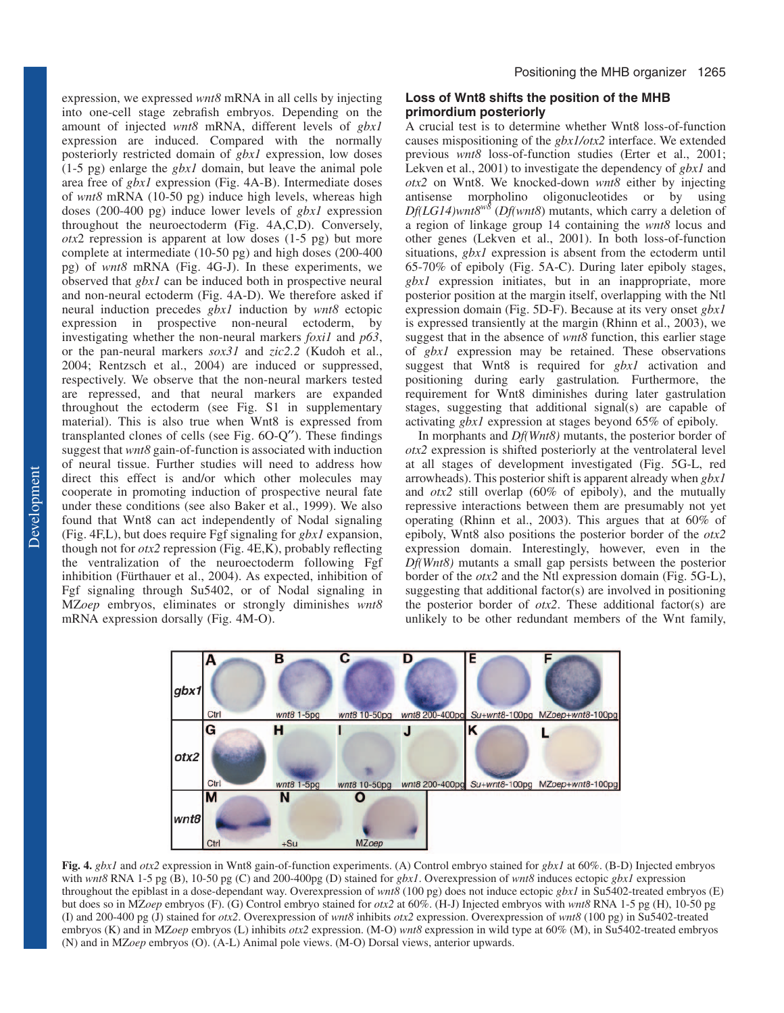expression, we expressed *wnt8* mRNA in all cells by injecting into one-cell stage zebrafish embryos. Depending on the amount of injected *wnt8* mRNA, different levels of *gbx1* expression are induced. Compared with the normally posteriorly restricted domain of *gbx1* expression, low doses (1-5 pg) enlarge the *gbx1* domain, but leave the animal pole area free of *gbx1* expression (Fig. 4A-B). Intermediate doses of *wnt8* mRNA (10-50 pg) induce high levels, whereas high doses (200-400 pg) induce lower levels of *gbx1* expression throughout the neuroectoderm **(**Fig. 4A,C,D). Conversely, *otx*2 repression is apparent at low doses (1-5 pg) but more complete at intermediate (10-50 pg) and high doses (200-400 pg) of *wnt8* mRNA (Fig. 4G-J). In these experiments, we observed that *gbx1* can be induced both in prospective neural and non-neural ectoderm (Fig. 4A-D). We therefore asked if neural induction precedes *gbx1* induction by *wnt8* ectopic expression in prospective non-neural ectoderm, by investigating whether the non-neural markers *foxi1* and *p63*, or the pan-neural markers *sox31* and *zic2.2* (Kudoh et al., 2004; Rentzsch et al., 2004) are induced or suppressed, respectively. We observe that the non-neural markers tested are repressed, and that neural markers are expanded throughout the ectoderm (see Fig. S1 in supplementary material). This is also true when Wnt8 is expressed from transplanted clones of cells (see Fig. 6O-Q′′). These findings suggest that *wnt8* gain-of-function is associated with induction of neural tissue. Further studies will need to address how direct this effect is and/or which other molecules may cooperate in promoting induction of prospective neural fate under these conditions (see also Baker et al., 1999). We also found that Wnt8 can act independently of Nodal signaling (Fig. 4F,L), but does require Fgf signaling for *gbx1* expansion, though not for *otx2* repression (Fig. 4E,K), probably reflecting the ventralization of the neuroectoderm following Fgf inhibition (Fürthauer et al., 2004). As expected, inhibition of Fgf signaling through Su5402, or of Nodal signaling in MZ*oep* embryos, eliminates or strongly diminishes *wnt8* mRNA expression dorsally (Fig. 4M-O).

# **Loss of Wnt8 shifts the position of the MHB primordium posteriorly**

A crucial test is to determine whether Wnt8 loss-of-function causes mispositioning of the *gbx1/otx2* interface. We extended previous *wnt8* loss-of-function studies (Erter et al., 2001; Lekven et al., 2001) to investigate the dependency of *gbx1* and *otx2* on Wnt8. We knocked-down *wnt8* either by injecting antisense morpholino oligonucleotides or by using *Df(LG14)wnt8w8* (*Df(wnt8*) mutants, which carry a deletion of a region of linkage group 14 containing the *wnt8* locus and other genes (Lekven et al., 2001). In both loss-of-function situations, *gbx1* expression is absent from the ectoderm until 65-70% of epiboly (Fig. 5A-C). During later epiboly stages, *gbx1* expression initiates, but in an inappropriate, more posterior position at the margin itself, overlapping with the Ntl expression domain (Fig. 5D-F). Because at its very onset *gbx1* is expressed transiently at the margin (Rhinn et al., 2003), we suggest that in the absence of *wnt8* function, this earlier stage of *gbx1* expression may be retained. These observations suggest that Wnt8 is required for *gbx1* activation and positioning during early gastrulation*.* Furthermore, the requirement for Wnt8 diminishes during later gastrulation stages, suggesting that additional signal(s) are capable of activating *gbx1* expression at stages beyond 65% of epiboly.

In morphants and *Df(Wnt8)* mutants, the posterior border of *otx2* expression is shifted posteriorly at the ventrolateral level at all stages of development investigated (Fig. 5G-L, red arrowheads). This posterior shift is apparent already when *gbx1* and *otx2* still overlap (60% of epiboly), and the mutually repressive interactions between them are presumably not yet operating (Rhinn et al., 2003). This argues that at 60% of epiboly, Wnt8 also positions the posterior border of the *otx2* expression domain. Interestingly, however, even in the *Df(Wnt8)* mutants a small gap persists between the posterior border of the *otx2* and the Ntl expression domain (Fig. 5G-L), suggesting that additional factor(s) are involved in positioning the posterior border of *otx2*. These additional factor(s) are unlikely to be other redundant members of the Wnt family,



**Fig. 4.** *gbx1* and *otx2* expression in Wnt8 gain-of-function experiments. (A) Control embryo stained for *gbx1* at 60%. (B-D) Injected embryos with *wnt8* RNA 1-5 pg (B), 10-50 pg (C) and 200-400pg (D) stained for *gbx1*. Overexpression of *wnt8* induces ectopic *gbx1* expression throughout the epiblast in a dose-dependant way. Overexpression of *wnt8* (100 pg) does not induce ectopic *gbx1* in Su5402-treated embryos (E) but does so in MZ*oep* embryos (F). (G) Control embryo stained for *otx2* at 60%. (H-J) Injected embryos with *wnt8* RNA 1-5 pg (H), 10-50 pg (I) and 200-400 pg (J) stained for *otx2*. Overexpression of *wnt8* inhibits *otx2* expression. Overexpression of *wnt8* (100 pg) in Su5402-treated embryos (K) and in MZ*oep* embryos (L) inhibits *otx2* expression. (M-O) *wnt8* expression in wild type at 60% (M), in Su5402-treated embryos (N) and in MZ*oep* embryos (O). (A-L) Animal pole views. (M-O) Dorsal views, anterior upwards.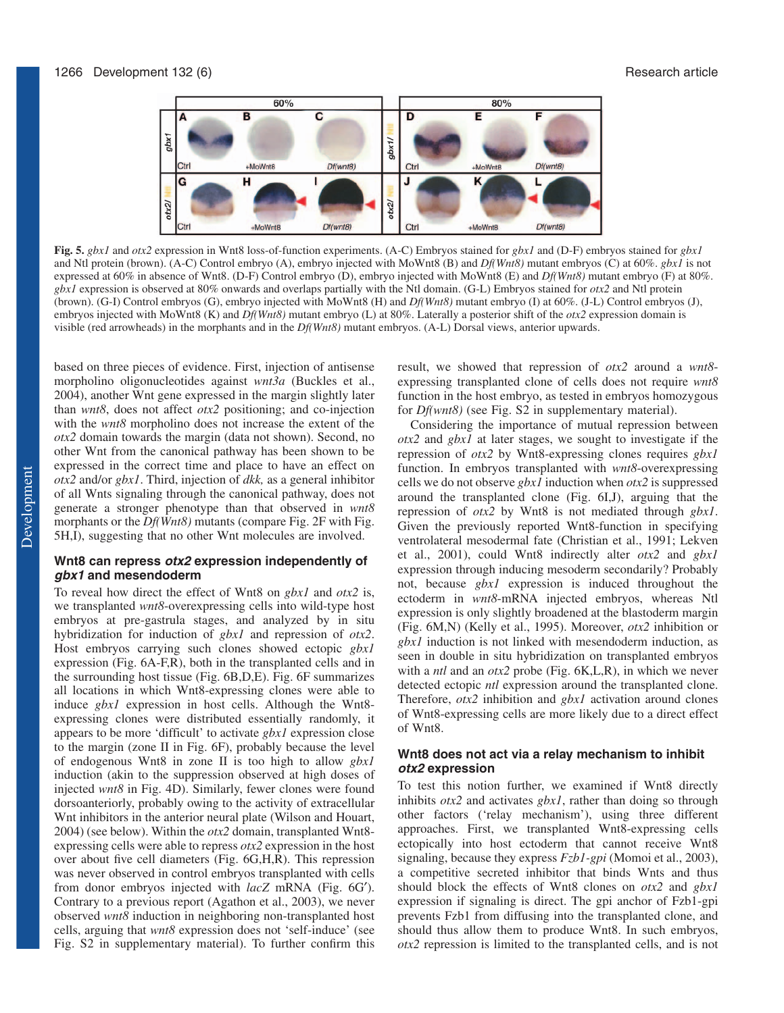

**Fig. 5.** *gbx1* and *otx2* expression in Wnt8 loss-of-function experiments. (A-C) Embryos stained for *gbx1* and (D-F) embryos stained for *gbx1* and Ntl protein (brown). (A-C) Control embryo (A), embryo injected with MoWnt8 (B) and *Df(Wnt8)* mutant embryos (C) at 60%. *gbx1* is not expressed at 60% in absence of Wnt8. (D-F) Control embryo (D), embryo injected with MoWnt8 (E) and *Df(Wnt8)* mutant embryo (F) at 80%. *gbx1* expression is observed at 80% onwards and overlaps partially with the Ntl domain. (G-L) Embryos stained for *otx2* and Ntl protein (brown). (G-I) Control embryos (G), embryo injected with MoWnt8 (H) and *Df(Wnt8)* mutant embryo (I) at 60%. (J-L) Control embryos (J), embryos injected with MoWnt8 (K) and *Df(Wnt8)* mutant embryo (L) at 80%. Laterally a posterior shift of the *otx2* expression domain is visible (red arrowheads) in the morphants and in the *Df(Wnt8)* mutant embryos. (A-L) Dorsal views, anterior upwards.

based on three pieces of evidence. First, injection of antisense morpholino oligonucleotides against *wnt3a* (Buckles et al., 2004), another Wnt gene expressed in the margin slightly later than *wnt8*, does not affect *otx2* positioning; and co-injection with the *wnt8* morpholino does not increase the extent of the *otx2* domain towards the margin (data not shown). Second, no other Wnt from the canonical pathway has been shown to be expressed in the correct time and place to have an effect on *otx2* and/or *gbx1*. Third, injection of *dkk,* as a general inhibitor of all Wnts signaling through the canonical pathway, does not generate a stronger phenotype than that observed in *wnt8* morphants or the *Df(Wnt8)* mutants (compare Fig. 2F with Fig. 5H,I), suggesting that no other Wnt molecules are involved.

## **Wnt8 can repress otx2 expression independently of gbx1 and mesendoderm**

To reveal how direct the effect of Wnt8 on *gbx1* and *otx2* is, we transplanted *wnt8*-overexpressing cells into wild-type host embryos at pre-gastrula stages, and analyzed by in situ hybridization for induction of *gbx1* and repression of *otx2*. Host embryos carrying such clones showed ectopic *gbx1* expression (Fig. 6A-F,R), both in the transplanted cells and in the surrounding host tissue (Fig. 6B,D,E). Fig. 6F summarizes all locations in which Wnt8-expressing clones were able to induce *gbx1* expression in host cells. Although the Wnt8 expressing clones were distributed essentially randomly, it appears to be more 'difficult' to activate *gbx1* expression close to the margin (zone II in Fig. 6F), probably because the level of endogenous Wnt8 in zone II is too high to allow *gbx1* induction (akin to the suppression observed at high doses of injected *wnt8* in Fig. 4D). Similarly, fewer clones were found dorsoanteriorly, probably owing to the activity of extracellular Wnt inhibitors in the anterior neural plate (Wilson and Houart, 2004) (see below). Within the *otx2* domain, transplanted Wnt8 expressing cells were able to repress *otx2* expression in the host over about five cell diameters (Fig. 6G,H,R). This repression was never observed in control embryos transplanted with cells from donor embryos injected with *lacZ* mRNA (Fig. 6G′). Contrary to a previous report (Agathon et al., 2003), we never observed *wnt8* induction in neighboring non-transplanted host cells, arguing that *wnt8* expression does not 'self-induce' (see Fig. S2 in supplementary material). To further confirm this result, we showed that repression of *otx2* around a *wnt8* expressing transplanted clone of cells does not require *wnt8* function in the host embryo, as tested in embryos homozygous for *Df(wnt8)* (see Fig. S2 in supplementary material).

Considering the importance of mutual repression between *otx2* and *gbx1* at later stages, we sought to investigate if the repression of *otx2* by Wnt8-expressing clones requires *gbx1* function. In embryos transplanted with *wnt8*-overexpressing cells we do not observe *gbx1* induction when *otx2* is suppressed around the transplanted clone (Fig. 6I,J), arguing that the repression of *otx2* by Wnt8 is not mediated through *gbx1*. Given the previously reported Wnt8-function in specifying ventrolateral mesodermal fate (Christian et al., 1991; Lekven et al., 2001), could Wnt8 indirectly alter *otx2* and *gbx1* expression through inducing mesoderm secondarily? Probably not, because *gbx1* expression is induced throughout the ectoderm in *wnt8*-mRNA injected embryos, whereas Ntl expression is only slightly broadened at the blastoderm margin (Fig. 6M,N) (Kelly et al., 1995). Moreover, *otx2* inhibition or *gbx1* induction is not linked with mesendoderm induction, as seen in double in situ hybridization on transplanted embryos with a *ntl* and an *otx2* probe (Fig. 6K,L,R), in which we never detected ectopic *ntl* expression around the transplanted clone. Therefore, *otx2* inhibition and *gbx1* activation around clones of Wnt8-expressing cells are more likely due to a direct effect of Wnt8.

## **Wnt8 does not act via a relay mechanism to inhibit otx2 expression**

To test this notion further, we examined if Wnt8 directly inhibits *otx2* and activates *gbx1*, rather than doing so through other factors ('relay mechanism'), using three different approaches. First, we transplanted Wnt8-expressing cells ectopically into host ectoderm that cannot receive Wnt8 signaling, because they express *Fzb1-gpi* (Momoi et al., 2003), a competitive secreted inhibitor that binds Wnts and thus should block the effects of Wnt8 clones on *otx2* and *gbx1* expression if signaling is direct. The gpi anchor of Fzb1-gpi prevents Fzb1 from diffusing into the transplanted clone, and should thus allow them to produce Wnt8. In such embryos, *otx2* repression is limited to the transplanted cells, and is not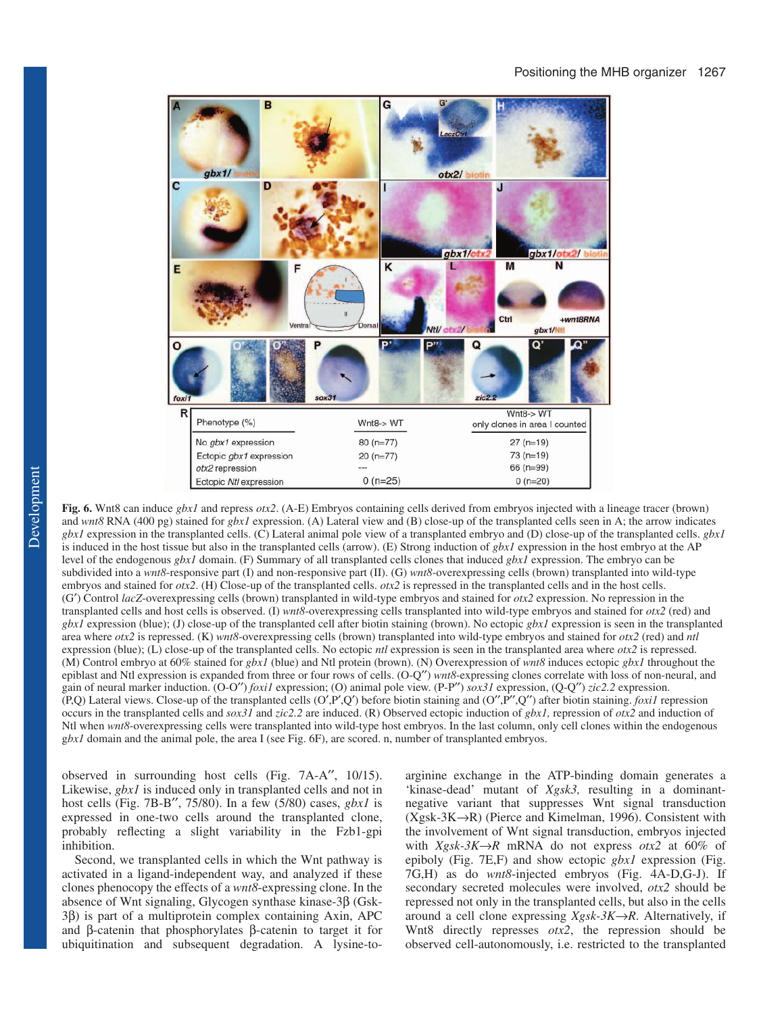

**Fig. 6.** Wnt8 can induce *gbx1* and repress *otx2*. (A-E) Embryos containing cells derived from embryos injected with a lineage tracer (brown) and *wnt8* RNA (400 pg) stained for *gbx1* expression. (A) Lateral view and (B) close-up of the transplanted cells seen in A; the arrow indicates *gbx1* expression in the transplanted cells. (C) Lateral animal pole view of a transplanted embryo and (D) close-up of the transplanted cells. *gbx1* is induced in the host tissue but also in the transplanted cells (arrow). (E) Strong induction of *gbx1* expression in the host embryo at the AP level of the endogenous *gbx1* domain. (F) Summary of all transplanted cells clones that induced *gbx1* expression. The embryo can be subdivided into a *wnt8*-responsive part (I) and non-responsive part (II). (G) *wnt8*-overexpressing cells (brown) transplanted into wild-type embryos and stained for *otx2*. (H) Close-up of the transplanted cells. *otx2* is repressed in the transplanted cells and in the host cells. (G′) Control *lacZ*-overexpressing cells (brown) transplanted in wild-type embryos and stained for *otx2* expression. No repression in the transplanted cells and host cells is observed. (I) *wnt8*-overexpressing cells transplanted into wild-type embryos and stained for *otx2* (red) and *gbx1* expression (blue); (J) close-up of the transplanted cell after biotin staining (brown). No ectopic *gbx1* expression is seen in the transplanted area where *otx2* is repressed. (K) *wnt8*-overexpressing cells (brown) transplanted into wild-type embryos and stained for *otx2* (red) and *ntl* expression (blue); (L) close-up of the transplanted cells. No ectopic *ntl* expression is seen in the transplanted area where *otx2* is repressed. (M) Control embryo at 60% stained for *gbx1* (blue) and Ntl protein (brown). (N) Overexpression of *wnt8* induces ectopic *gbx1* throughout the epiblast and Ntl expression is expanded from three or four rows of cells. (O-Q′′) *wnt8*-expressing clones correlate with loss of non-neural, and gain of neural marker induction. (O-O′′) *foxi1* expression; (O) animal pole view. (P-P′′) *sox31* expression, (Q-Q′′) *zic2.2* expression. (P,Q) Lateral views. Close-up of the transplanted cells (O′,P′,Q′) before biotin staining and (O′′,P′′,Q′′) after biotin staining. *foxi1* repression occurs in the transplanted cells and *sox31* and *zic2.2* are induced. (R) Observed ectopic induction of *gbx1,* repression of *otx2* and induction of Ntl when *wnt8*-overexpressing cells were transplanted into wild-type host embryos. In the last column, only cell clones within the endogenous g*bx1* domain and the animal pole, the area I (see Fig. 6F), are scored. n, number of transplanted embryos.

observed in surrounding host cells (Fig. 7A-A′′, 10/15). Likewise, *gbx1* is induced only in transplanted cells and not in host cells (Fig. 7B-B′′, 75/80). In a few (5/80) cases, *gbx1* is expressed in one-two cells around the transplanted clone, probably reflecting a slight variability in the Fzb1-gpi inhibition.

Second, we transplanted cells in which the Wnt pathway is activated in a ligand-independent way, and analyzed if these clones phenocopy the effects of a *wnt8*-expressing clone. In the absence of Wnt signaling, Glycogen synthase kinase-3β (Gsk-3β) is part of a multiprotein complex containing Axin, APC and β-catenin that phosphorylates β-catenin to target it for ubiquitination and subsequent degradation. A lysine-toarginine exchange in the ATP-binding domain generates a 'kinase-dead' mutant of *Xgsk3,* resulting in a dominantnegative variant that suppresses Wnt signal transduction  $(Xgsk-3K\rightarrow R)$  (Pierce and Kimelman, 1996). Consistent with the involvement of Wnt signal transduction, embryos injected with  $Xgsk-3K\rightarrow R$  mRNA do not express  $otx2$  at 60% of epiboly (Fig. 7E,F) and show ectopic *gbx1* expression (Fig. 7G,H) as do *wnt8*-injected embryos (Fig. 4A-D,G-J). If secondary secreted molecules were involved, *otx2* should be repressed not only in the transplanted cells, but also in the cells around a cell clone expressing *Xgsk-3K*→*R*. Alternatively, if Wnt8 directly represses *otx2*, the repression should be observed cell-autonomously, i.e. restricted to the transplanted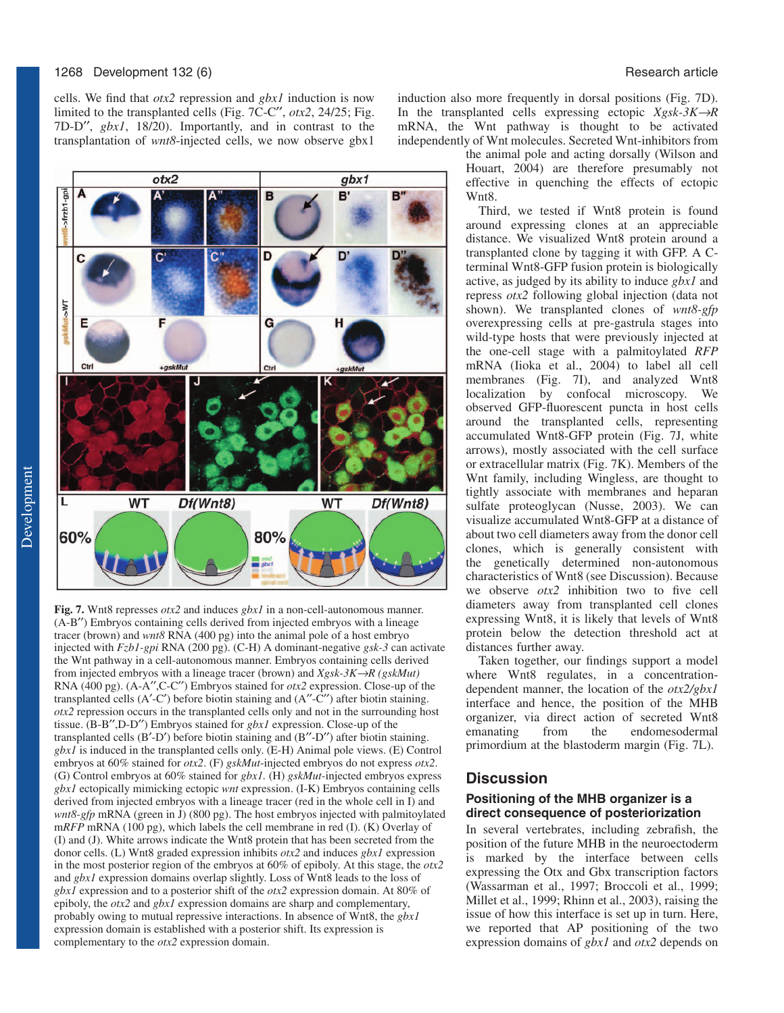cells. We find that *otx2* repression and *gbx1* induction is now limited to the transplanted cells (Fig. 7C-C′′, *otx2*, 24/25; Fig. 7D-D′′, *gbx1*, 18/20). Importantly, and in contrast to the transplantation of *wnt8*-injected cells, we now observe gbx1



**Fig. 7.** Wnt8 represses *otx2* and induces *gbx1* in a non-cell-autonomous manner. (A-B′′) Embryos containing cells derived from injected embryos with a lineage tracer (brown) and *wnt8* RNA (400 pg) into the animal pole of a host embryo injected with *Fzb1-gpi* RNA (200 pg). (C-H) A dominant-negative *gsk-3* can activate the Wnt pathway in a cell-autonomous manner. Embryos containing cells derived from injected embryos with a lineage tracer (brown) and *Xgsk-3K*→*R (gskMut)* RNA (400 pg). (A-A′′,C-C′′) Embryos stained for *otx2* expression. Close-up of the transplanted cells  $(A'-C')$  before biotin staining and  $(A''-C'')$  after biotin staining. *otx2* repression occurs in the transplanted cells only and not in the surrounding host tissue. (B-B′′,D-D′′) Embryos stained for *gbx1* expression. Close-up of the transplanted cells (B′-D′) before biotin staining and (B′′-D′′) after biotin staining. *gbx1* is induced in the transplanted cells only. (E-H) Animal pole views. (E) Control embryos at 60% stained for *otx2*. (F) *gskMut*-injected embryos do not express *otx2*. (G) Control embryos at 60% stained for *gbx1.* (H) *gskMut*-injected embryos express *gbx1* ectopically mimicking ectopic *wnt* expression. (I-K) Embryos containing cells derived from injected embryos with a lineage tracer (red in the whole cell in I) and *wnt8-gfp* mRNA (green in J) (800 pg). The host embryos injected with palmitoylated m*RFP* mRNA (100 pg), which labels the cell membrane in red (I). (K) Overlay of (I) and (J). White arrows indicate the Wnt8 protein that has been secreted from the donor cells. (L) Wnt8 graded expression inhibits *otx2* and induces *gbx1* expression in the most posterior region of the embryos at 60% of epiboly. At this stage, the *otx2* and *gbx1* expression domains overlap slightly. Loss of Wnt8 leads to the loss of *gbx1* expression and to a posterior shift of the *otx2* expression domain. At 80% of epiboly, the *otx2* and *gbx1* expression domains are sharp and complementary, probably owing to mutual repressive interactions. In absence of Wnt8, the *gbx1* expression domain is established with a posterior shift. Its expression is complementary to the *otx2* expression domain.

induction also more frequently in dorsal positions (Fig. 7D). In the transplanted cells expressing ectopic *Xgsk-3K*→*R* mRNA, the Wnt pathway is thought to be activated independently of Wnt molecules. Secreted Wnt-inhibitors from

the animal pole and acting dorsally (Wilson and Houart, 2004) are therefore presumably not effective in quenching the effects of ectopic Wnt8.

Third, we tested if Wnt8 protein is found around expressing clones at an appreciable distance. We visualized Wnt8 protein around a transplanted clone by tagging it with GFP. A Cterminal Wnt8-GFP fusion protein is biologically active, as judged by its ability to induce *gbx1* and repress *otx2* following global injection (data not shown). We transplanted clones of *wnt8-gfp* overexpressing cells at pre-gastrula stages into wild-type hosts that were previously injected at the one-cell stage with a palmitoylated *RFP* mRNA (Iioka et al., 2004) to label all cell membranes (Fig. 7I), and analyzed Wnt8 localization by confocal microscopy. We observed GFP-fluorescent puncta in host cells around the transplanted cells, representing accumulated Wnt8-GFP protein (Fig. 7J, white arrows), mostly associated with the cell surface or extracellular matrix (Fig. 7K). Members of the Wnt family, including Wingless, are thought to tightly associate with membranes and heparan sulfate proteoglycan (Nusse, 2003). We can visualize accumulated Wnt8-GFP at a distance of about two cell diameters away from the donor cell clones, which is generally consistent with the genetically determined non-autonomous characteristics of Wnt8 (see Discussion). Because we observe *otx2* inhibition two to five cell diameters away from transplanted cell clones expressing Wnt8, it is likely that levels of Wnt8 protein below the detection threshold act at distances further away.

Taken together, our findings support a model where Wnt8 regulates, in a concentrationdependent manner, the location of the *otx2/gbx1* interface and hence, the position of the MHB organizer, via direct action of secreted Wnt8 emanating from the endomesodermal primordium at the blastoderm margin (Fig. 7L).

# **Discussion**

## **Positioning of the MHB organizer is a direct consequence of posteriorization**

In several vertebrates, including zebrafish, the position of the future MHB in the neuroectoderm is marked by the interface between cells expressing the Otx and Gbx transcription factors (Wassarman et al., 1997; Broccoli et al., 1999; Millet et al., 1999; Rhinn et al., 2003), raising the issue of how this interface is set up in turn. Here, we reported that AP positioning of the two expression domains of *gbx1* and *otx2* depends on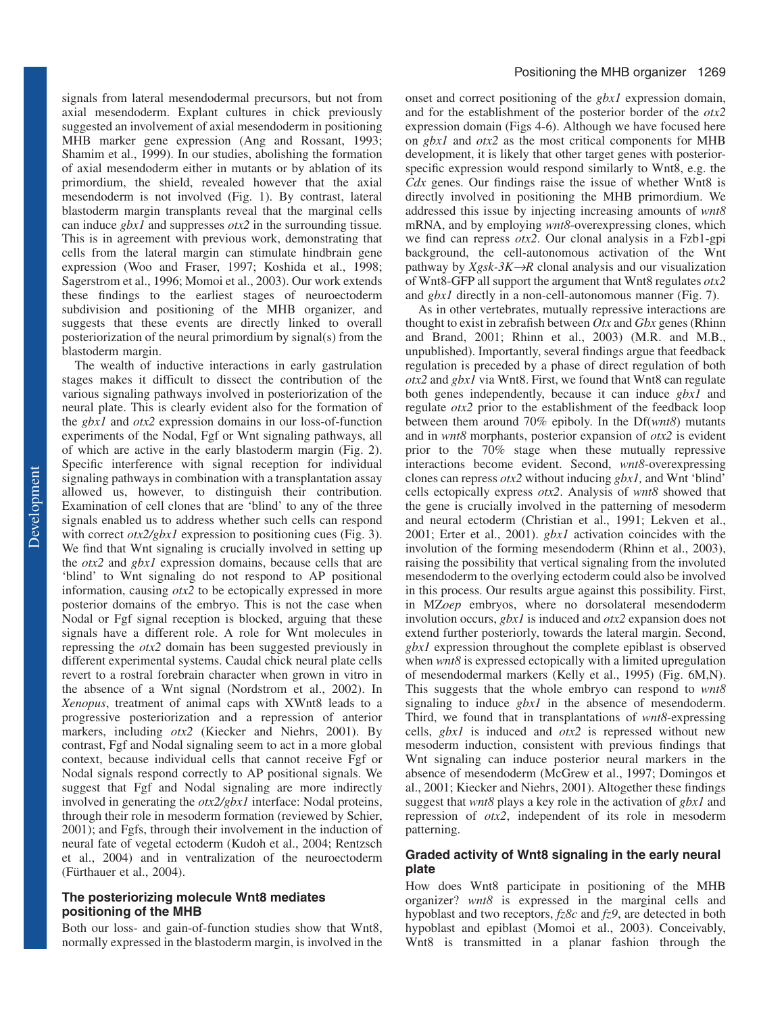signals from lateral mesendodermal precursors, but not from axial mesendoderm. Explant cultures in chick previously suggested an involvement of axial mesendoderm in positioning MHB marker gene expression (Ang and Rossant, 1993; Shamim et al., 1999). In our studies, abolishing the formation of axial mesendoderm either in mutants or by ablation of its primordium, the shield, revealed however that the axial mesendoderm is not involved (Fig. 1). By contrast, lateral blastoderm margin transplants reveal that the marginal cells can induce *gbx1* and suppresses *otx2* in the surrounding tissue*.* This is in agreement with previous work, demonstrating that cells from the lateral margin can stimulate hindbrain gene expression (Woo and Fraser, 1997; Koshida et al., 1998; Sagerstrom et al., 1996; Momoi et al., 2003). Our work extends these findings to the earliest stages of neuroectoderm subdivision and positioning of the MHB organizer, and suggests that these events are directly linked to overall posteriorization of the neural primordium by signal(s) from the blastoderm margin.

The wealth of inductive interactions in early gastrulation stages makes it difficult to dissect the contribution of the various signaling pathways involved in posteriorization of the neural plate. This is clearly evident also for the formation of the *gbx1* and *otx2* expression domains in our loss-of-function experiments of the Nodal, Fgf or Wnt signaling pathways, all of which are active in the early blastoderm margin (Fig. 2). Specific interference with signal reception for individual signaling pathways in combination with a transplantation assay allowed us, however, to distinguish their contribution. Examination of cell clones that are 'blind' to any of the three signals enabled us to address whether such cells can respond with correct *otx2/gbx1* expression to positioning cues (Fig. 3). We find that Wnt signaling is crucially involved in setting up the *otx2* and *gbx1* expression domains, because cells that are 'blind' to Wnt signaling do not respond to AP positional information, causing *otx2* to be ectopically expressed in more posterior domains of the embryo. This is not the case when Nodal or Fgf signal reception is blocked, arguing that these signals have a different role. A role for Wnt molecules in repressing the *otx2* domain has been suggested previously in different experimental systems. Caudal chick neural plate cells revert to a rostral forebrain character when grown in vitro in the absence of a Wnt signal (Nordstrom et al., 2002). In *Xenopus*, treatment of animal caps with XWnt8 leads to a progressive posteriorization and a repression of anterior markers, including *otx2* (Kiecker and Niehrs, 2001). By contrast, Fgf and Nodal signaling seem to act in a more global context, because individual cells that cannot receive Fgf or Nodal signals respond correctly to AP positional signals. We suggest that Fgf and Nodal signaling are more indirectly involved in generating the *otx2/gbx1* interface: Nodal proteins, through their role in mesoderm formation (reviewed by Schier, 2001); and Fgfs, through their involvement in the induction of neural fate of vegetal ectoderm (Kudoh et al., 2004; Rentzsch et al., 2004) and in ventralization of the neuroectoderm (Fürthauer et al., 2004).

## **The posteriorizing molecule Wnt8 mediates positioning of the MHB**

Both our loss- and gain-of-function studies show that Wnt8, normally expressed in the blastoderm margin, is involved in the onset and correct positioning of the *gbx1* expression domain, and for the establishment of the posterior border of the *otx2* expression domain (Figs 4-6). Although we have focused here on *gbx1* and *otx2* as the most critical components for MHB development, it is likely that other target genes with posteriorspecific expression would respond similarly to Wnt8, e.g. the *Cdx* genes. Our findings raise the issue of whether Wnt8 is directly involved in positioning the MHB primordium. We addressed this issue by injecting increasing amounts of *wnt8* mRNA, and by employing *wnt8*-overexpressing clones, which we find can repress *otx2*. Our clonal analysis in a Fzb1-gpi background, the cell-autonomous activation of the Wnt pathway by  $Xgsk-3K\rightarrow R$  clonal analysis and our visualization of Wnt8-GFP all support the argument that Wnt8 regulates *otx2* and *gbx1* directly in a non-cell-autonomous manner (Fig. 7).

As in other vertebrates, mutually repressive interactions are thought to exist in zebrafish between *Otx* and *Gbx* genes (Rhinn and Brand, 2001; Rhinn et al., 2003) (M.R. and M.B., unpublished). Importantly, several findings argue that feedback regulation is preceded by a phase of direct regulation of both *otx2* and *gbx1* via Wnt8. First, we found that Wnt8 can regulate both genes independently, because it can induce *gbx1* and regulate *otx2* prior to the establishment of the feedback loop between them around 70% epiboly. In the Df(*wnt8*) mutants and in *wnt8* morphants, posterior expansion of *otx2* is evident prior to the 70% stage when these mutually repressive interactions become evident. Second, *wnt8*-overexpressing clones can repress *otx2* without inducing *gbx1,* and Wnt 'blind' cells ectopically express *otx2*. Analysis of *wnt8* showed that the gene is crucially involved in the patterning of mesoderm and neural ectoderm (Christian et al., 1991; Lekven et al., 2001; Erter et al., 2001). *gbx1* activation coincides with the involution of the forming mesendoderm (Rhinn et al., 2003), raising the possibility that vertical signaling from the involuted mesendoderm to the overlying ectoderm could also be involved in this process. Our results argue against this possibility. First, in MZ*oep* embryos, where no dorsolateral mesendoderm involution occurs, *gbx1* is induced and *otx2* expansion does not extend further posteriorly, towards the lateral margin. Second, *gbx1* expression throughout the complete epiblast is observed when *wnt8* is expressed ectopically with a limited upregulation of mesendodermal markers (Kelly et al., 1995) (Fig. 6M,N). This suggests that the whole embryo can respond to *wnt8* signaling to induce *gbx1* in the absence of mesendoderm. Third, we found that in transplantations of *wnt8*-expressing cells, *gbx1* is induced and *otx2* is repressed without new mesoderm induction, consistent with previous findings that Wnt signaling can induce posterior neural markers in the absence of mesendoderm (McGrew et al., 1997; Domingos et al., 2001; Kiecker and Niehrs, 2001). Altogether these findings suggest that *wnt8* plays a key role in the activation of *gbx1* and repression of *otx2*, independent of its role in mesoderm patterning.

## **Graded activity of Wnt8 signaling in the early neural plate**

How does Wnt8 participate in positioning of the MHB organizer? *wnt8* is expressed in the marginal cells and hypoblast and two receptors, *fz8c* and *fz9*, are detected in both hypoblast and epiblast (Momoi et al., 2003). Conceivably, Wnt8 is transmitted in a planar fashion through the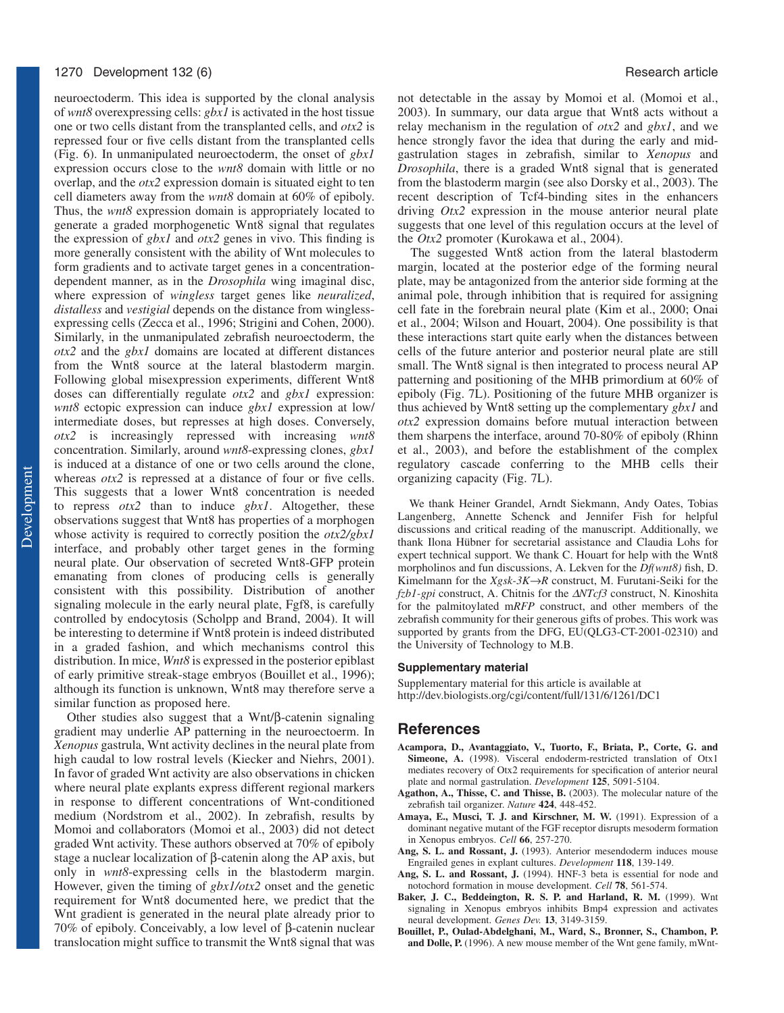#### 1270 Development 132 (6) **Research article Research article Research article Research article**

neuroectoderm. This idea is supported by the clonal analysis of *wnt8* overexpressing cells: *gbx1* is activated in the host tissue one or two cells distant from the transplanted cells, and *otx2* is repressed four or five cells distant from the transplanted cells (Fig. 6). In unmanipulated neuroectoderm, the onset of *gbx1* expression occurs close to the *wnt8* domain with little or no overlap, and the *otx2* expression domain is situated eight to ten cell diameters away from the *wnt8* domain at 60% of epiboly. Thus, the *wnt8* expression domain is appropriately located to generate a graded morphogenetic Wnt8 signal that regulates the expression of *gbx1* and *otx2* genes in vivo. This finding is more generally consistent with the ability of Wnt molecules to form gradients and to activate target genes in a concentrationdependent manner, as in the *Drosophila* wing imaginal disc, where expression of *wingless* target genes like *neuralized*, *distalless* and *vestigial* depends on the distance from winglessexpressing cells (Zecca et al., 1996; Strigini and Cohen, 2000). Similarly, in the unmanipulated zebrafish neuroectoderm, the *otx2* and the *gbx1* domains are located at different distances from the Wnt8 source at the lateral blastoderm margin. Following global misexpression experiments, different Wnt8 doses can differentially regulate *otx2* and *gbx1* expression: *wnt8* ectopic expression can induce *gbx1* expression at low/ intermediate doses, but represses at high doses. Conversely, *otx2* is increasingly repressed with increasing *wnt8* concentration. Similarly, around *wnt8*-expressing clones, *gbx1* is induced at a distance of one or two cells around the clone, whereas *otx*2 is repressed at a distance of four or five cells. This suggests that a lower Wnt8 concentration is needed to repress *otx2* than to induce *gbx1*. Altogether, these observations suggest that Wnt8 has properties of a morphogen whose activity is required to correctly position the *otx2/gbx1* interface, and probably other target genes in the forming neural plate. Our observation of secreted Wnt8-GFP protein emanating from clones of producing cells is generally consistent with this possibility. Distribution of another signaling molecule in the early neural plate, Fgf8, is carefully controlled by endocytosis (Scholpp and Brand, 2004). It will be interesting to determine if Wnt8 protein is indeed distributed in a graded fashion, and which mechanisms control this distribution. In mice, *Wnt8* is expressed in the posterior epiblast of early primitive streak-stage embryos (Bouillet et al., 1996); although its function is unknown, Wnt8 may therefore serve a similar function as proposed here.

Other studies also suggest that a Wnt/β-catenin signaling gradient may underlie AP patterning in the neuroectoerm. In *Xenopus* gastrula, Wnt activity declines in the neural plate from high caudal to low rostral levels (Kiecker and Niehrs, 2001). In favor of graded Wnt activity are also observations in chicken where neural plate explants express different regional markers in response to different concentrations of Wnt-conditioned medium (Nordstrom et al., 2002). In zebrafish, results by Momoi and collaborators (Momoi et al., 2003) did not detect graded Wnt activity. These authors observed at 70% of epiboly stage a nuclear localization of β-catenin along the AP axis, but only in *wnt8*-expressing cells in the blastoderm margin. However, given the timing of *gbx1/otx2* onset and the genetic requirement for Wnt8 documented here, we predict that the Wnt gradient is generated in the neural plate already prior to 70% of epiboly. Conceivably, a low level of β-catenin nuclear translocation might suffice to transmit the Wnt8 signal that was not detectable in the assay by Momoi et al. (Momoi et al., 2003). In summary, our data argue that Wnt8 acts without a relay mechanism in the regulation of *otx2* and *gbx1*, and we hence strongly favor the idea that during the early and midgastrulation stages in zebrafish, similar to *Xenopus* and *Drosophila*, there is a graded Wnt8 signal that is generated from the blastoderm margin (see also Dorsky et al., 2003). The recent description of Tcf4-binding sites in the enhancers driving *Otx2* expression in the mouse anterior neural plate suggests that one level of this regulation occurs at the level of the *Otx2* promoter (Kurokawa et al., 2004).

The suggested Wnt8 action from the lateral blastoderm margin, located at the posterior edge of the forming neural plate, may be antagonized from the anterior side forming at the animal pole, through inhibition that is required for assigning cell fate in the forebrain neural plate (Kim et al., 2000; Onai et al., 2004; Wilson and Houart, 2004). One possibility is that these interactions start quite early when the distances between cells of the future anterior and posterior neural plate are still small. The Wnt8 signal is then integrated to process neural AP patterning and positioning of the MHB primordium at 60% of epiboly (Fig. 7L). Positioning of the future MHB organizer is thus achieved by Wnt8 setting up the complementary *gbx1* and *otx2* expression domains before mutual interaction between them sharpens the interface, around 70-80% of epiboly (Rhinn et al., 2003), and before the establishment of the complex regulatory cascade conferring to the MHB cells their organizing capacity (Fig. 7L).

We thank Heiner Grandel, Arndt Siekmann, Andy Oates, Tobias Langenberg, Annette Schenck and Jennifer Fish for helpful discussions and critical reading of the manuscript. Additionally, we thank Ilona Hübner for secretarial assistance and Claudia Lohs for expert technical support. We thank C. Houart for help with the Wnt8 morpholinos and fun discussions, A. Lekven for the *Df(wnt8)* fish, D. Kimelmann for the  $Xgsk-3K \rightarrow R$  construct, M. Furutani-Seiki for the *fzb1-gpi* construct, A. Chitnis for the ∆*NTcf3* construct, N. Kinoshita for the palmitoylated m*RFP* construct, and other members of the zebrafish community for their generous gifts of probes. This work was supported by grants from the DFG, EU(QLG3-CT-2001-02310) and the University of Technology to M.B.

#### **Supplementary material**

Supplementary material for this article is available at http://dev.biologists.org/cgi/content/full/131/6/1261/DC1

## **References**

- **Acampora, D., Avantaggiato, V., Tuorto, F., Briata, P., Corte, G. and Simeone, A.** (1998). Visceral endoderm-restricted translation of Otx1 mediates recovery of Otx2 requirements for specification of anterior neural plate and normal gastrulation. *Development* **125**, 5091-5104.
- **Agathon, A., Thisse, C. and Thisse, B.** (2003). The molecular nature of the zebrafish tail organizer. *Nature* **424**, 448-452.
- Amaya, E., Musci, T. J. and Kirschner, M. W. (1991). Expression of a dominant negative mutant of the FGF receptor disrupts mesoderm formation in Xenopus embryos. *Cell* **66**, 257-270.
- Ang, S. L. and Rossant, J. (1993). Anterior mesendoderm induces mouse Engrailed genes in explant cultures. *Development* **118**, 139-149.
- **Ang, S. L. and Rossant, J.** (1994). HNF-3 beta is essential for node and notochord formation in mouse development. *Cell* **78**, 561-574.
- **Baker, J. C., Beddeington, R. S. P. and Harland, R. M.** (1999). Wnt signaling in Xenopus embryos inhibits Bmp4 expression and activates neural development. *Genes Dev.* **13**, 3149-3159.
- **Bouillet, P., Oulad-Abdelghani, M., Ward, S., Bronner, S., Chambon, P. and Dolle, P.** (1996). A new mouse member of the Wnt gene family, mWnt-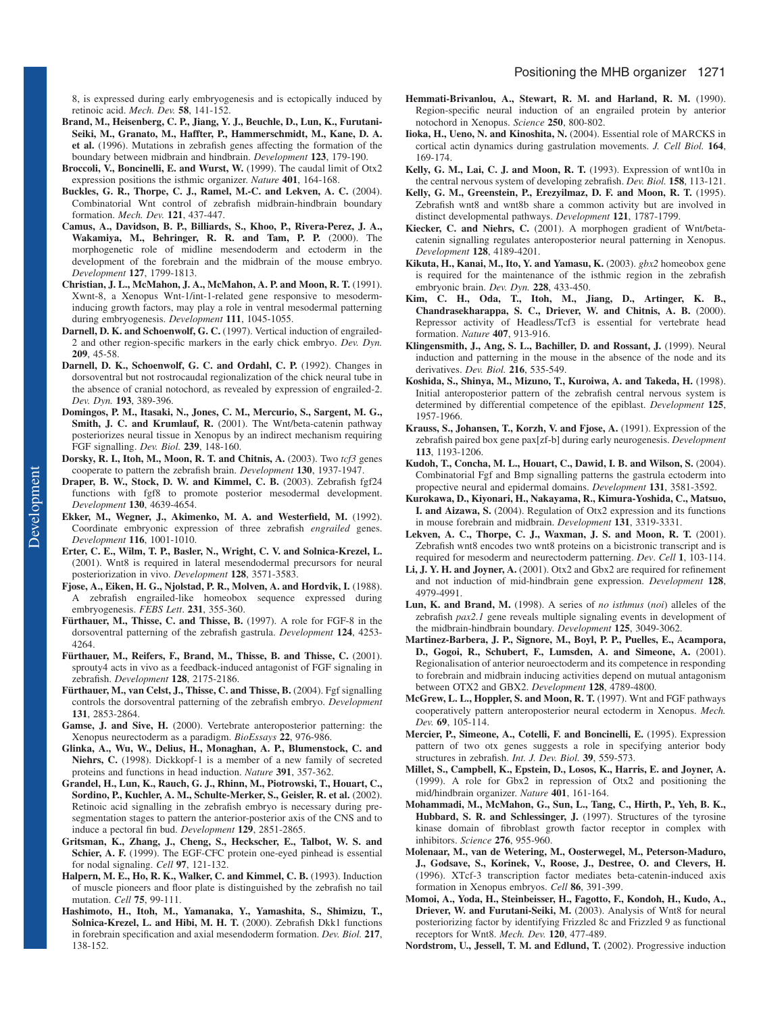8, is expressed during early embryogenesis and is ectopically induced by retinoic acid. *Mech. Dev.* **58**, 141-152.

- **Brand, M., Heisenberg, C. P., Jiang, Y. J., Beuchle, D., Lun, K., Furutani-Seiki, M., Granato, M., Haffter, P., Hammerschmidt, M., Kane, D. A. et al.** (1996). Mutations in zebrafish genes affecting the formation of the boundary between midbrain and hindbrain. *Development* **123**, 179-190.
- **Broccoli, V., Boncinelli, E. and Wurst, W.** (1999). The caudal limit of Otx2 expression positions the isthmic organizer. *Nature* **401**, 164-168.
- **Buckles, G. R., Thorpe, C. J., Ramel, M.-C. and Lekven, A. C.** (2004). Combinatorial Wnt control of zebrafish midbrain-hindbrain boundary formation. *Mech. Dev.* **121**, 437-447.
- **Camus, A., Davidson, B. P., Billiards, S., Khoo, P., Rivera-Perez, J. A., Wakamiya, M., Behringer, R. R. and Tam, P. P.** (2000). The morphogenetic role of midline mesendoderm and ectoderm in the development of the forebrain and the midbrain of the mouse embryo. *Development* **127**, 1799-1813.
- **Christian, J. L., McMahon, J. A., McMahon, A. P. and Moon, R. T.** (1991). Xwnt-8, a Xenopus Wnt-1/int-1-related gene responsive to mesoderminducing growth factors, may play a role in ventral mesodermal patterning during embryogenesis. *Development* **111**, 1045-1055.
- Darnell, D. K. and Schoenwolf, G. C. (1997). Vertical induction of engrailed-2 and other region-specific markers in the early chick embryo. *Dev. Dyn.* **209**, 45-58.
- **Darnell, D. K., Schoenwolf, G. C. and Ordahl, C. P.** (1992). Changes in dorsoventral but not rostrocaudal regionalization of the chick neural tube in the absence of cranial notochord, as revealed by expression of engrailed-2. *Dev. Dyn.* **193**, 389-396.
- **Domingos, P. M., Itasaki, N., Jones, C. M., Mercurio, S., Sargent, M. G., Smith, J. C. and Krumlauf, R.** (2001). The Wnt/beta-catenin pathway posteriorizes neural tissue in Xenopus by an indirect mechanism requiring FGF signalling. *Dev. Biol.* **239**, 148-160.
- **Dorsky, R. I., Itoh, M., Moon, R. T. and Chitnis, A.** (2003). Two *tcf3* genes cooperate to pattern the zebrafish brain. *Development* **130**, 1937-1947.
- **Draper, B. W., Stock, D. W. and Kimmel, C. B.** (2003). Zebrafish fgf24 functions with fgf8 to promote posterior mesodermal development. *Development* **130**, 4639-4654.
- **Ekker, M., Wegner, J., Akimenko, M. A. and Westerfield, M.** (1992). Coordinate embryonic expression of three zebrafish *engrailed* genes. *Development* **116**, 1001-1010.
- **Erter, C. E., Wilm, T. P., Basler, N., Wright, C. V. and Solnica-Krezel, L.** (2001). Wnt8 is required in lateral mesendodermal precursors for neural posteriorization in vivo. *Development* **128**, 3571-3583.
- **Fjose, A., Eiken, H. G., Njolstad, P. R., Molven, A. and Hordvik, I.** (1988). A zebrafish engrailed-like homeobox sequence expressed during embryogenesis. *FEBS Lett*. **231**, 355-360.
- Fürthauer, M., Thisse, C. and Thisse, B. (1997). A role for FGF-8 in the dorsoventral patterning of the zebrafish gastrula. *Development* **124**, 4253- 4264.
- **Fürthauer, M., Reifers, F., Brand, M., Thisse, B. and Thisse, C.** (2001). sprouty4 acts in vivo as a feedback-induced antagonist of FGF signaling in zebrafish. *Development* **128**, 2175-2186.
- Fürthauer, M., van Celst, J., Thisse, C. and Thisse, B. (2004). Fgf signalling controls the dorsoventral patterning of the zebrafish embryo. *Development* **131**, 2853-2864.
- **Gamse, J. and Sive, H.** (2000). Vertebrate anteroposterior patterning: the Xenopus neurectoderm as a paradigm. *BioEssays* **22**, 976-986.
- **Glinka, A., Wu, W., Delius, H., Monaghan, A. P., Blumenstock, C. and** Niehrs, C. (1998). Dickkopf-1 is a member of a new family of secreted proteins and functions in head induction. *Nature* **391**, 357-362.
- **Grandel, H., Lun, K., Rauch, G. J., Rhinn, M., Piotrowski, T., Houart, C., Sordino, P., Kuchler, A. M., Schulte-Merker, S., Geisler, R. et al.** (2002). Retinoic acid signalling in the zebrafish embryo is necessary during presegmentation stages to pattern the anterior-posterior axis of the CNS and to induce a pectoral fin bud. *Development* **129**, 2851-2865.
- **Gritsman, K., Zhang, J., Cheng, S., Heckscher, E., Talbot, W. S. and** Schier, A. F. (1999). The EGF-CFC protein one-eyed pinhead is essential for nodal signaling. *Cell* **97**, 121-132.
- Halpern, M. E., Ho, R. K., Walker, C. and Kimmel, C. B. (1993). Induction of muscle pioneers and floor plate is distinguished by the zebrafish no tail mutation. *Cell* **75**, 99-111.
- **Hashimoto, H., Itoh, M., Yamanaka, Y., Yamashita, S., Shimizu, T., Solnica-Krezel, L. and Hibi, M. H. T.** (2000). Zebrafish Dkk1 functions in forebrain specification and axial mesendoderm formation. *Dev. Biol.* **217**, 138-152.
- **Hemmati-Brivanlou, A., Stewart, R. M. and Harland, R. M.** (1990). Region-specific neural induction of an engrailed protein by anterior notochord in Xenopus. *Science* **250**, 800-802.
- **Iioka, H., Ueno, N. and Kinoshita, N.** (2004). Essential role of MARCKS in cortical actin dynamics during gastrulation movements. *J. Cell Biol.* **164**, 169-174.
- **Kelly, G. M., Lai, C. J. and Moon, R. T.** (1993). Expression of wnt10a in the central nervous system of developing zebrafish. *Dev. Biol.* **158**, 113-121.
- **Kelly, G. M., Greenstein, P., Erezyilmaz, D. F. and Moon, R. T.** (1995). Zebrafish wnt8 and wnt8b share a common activity but are involved in distinct developmental pathways. *Development* **121**, 1787-1799.
- **Kiecker, C. and Niehrs, C.** (2001). A morphogen gradient of Wnt/betacatenin signalling regulates anteroposterior neural patterning in Xenopus. *Development* **128**, 4189-4201.
- **Kikuta, H., Kanai, M., Ito, Y. and Yamasu, K.** (2003). *gbx2* homeobox gene is required for the maintenance of the isthmic region in the zebrafish embryonic brain. *Dev. Dyn.* **228**, 433-450.
- **Kim, C. H., Oda, T., Itoh, M., Jiang, D., Artinger, K. B., Chandrasekharappa, S. C., Driever, W. and Chitnis, A. B.** (2000). Repressor activity of Headless/Tcf3 is essential for vertebrate head formation. *Nature* **407**, 913-916.
- Klingensmith, J., Ang, S. L., Bachiller, D. and Rossant, J. (1999). Neural induction and patterning in the mouse in the absence of the node and its derivatives. *Dev. Biol.* **216**, 535-549.
- **Koshida, S., Shinya, M., Mizuno, T., Kuroiwa, A. and Takeda, H.** (1998). Initial anteroposterior pattern of the zebrafish central nervous system is determined by differential competence of the epiblast. *Development* **125**, 1957-1966.
- **Krauss, S., Johansen, T., Korzh, V. and Fjose, A.** (1991). Expression of the zebrafish paired box gene pax[zf-b] during early neurogenesis. *Development* **113**, 1193-1206.
- **Kudoh, T., Concha, M. L., Houart, C., Dawid, I. B. and Wilson, S.** (2004). Combinatorial Fgf and Bmp signalling patterns the gastrula ectoderm into propective neural and epidermal domains. *Development* **131**, 3581-3592.
- **Kurokawa, D., Kiyonari, H., Nakayama, R., Kimura-Yoshida, C., Matsuo, I. and Aizawa, S.** (2004). Regulation of Otx2 expression and its functions in mouse forebrain and midbrain. *Development* **131**, 3319-3331.
- **Lekven, A. C., Thorpe, C. J., Waxman, J. S. and Moon, R. T.** (2001). Zebrafish wnt8 encodes two wnt8 proteins on a bicistronic transcript and is required for mesoderm and neurectoderm patterning. *Dev*. *Cell* **1**, 103-114.
- **Li, J. Y. H. and Joyner, A.** (2001). Otx2 and Gbx2 are required for refinement and not induction of mid-hindbrain gene expression. *Development* **128**, 4979-4991.
- **Lun, K. and Brand, M.** (1998). A series of *no isthmus* (*noi*) alleles of the zebrafish *pax2.1* gene reveals multiple signaling events in development of the midbrain-hindbrain boundary. *Development* **125**, 3049-3062.
- **Martinez-Barbera, J. P., Signore, M., Boyl, P. P., Puelles, E., Acampora, D., Gogoi, R., Schubert, F., Lumsden, A. and Simeone, A.** (2001). Regionalisation of anterior neuroectoderm and its competence in responding to forebrain and midbrain inducing activities depend on mutual antagonism between OTX2 and GBX2. *Development* **128**, 4789-4800.
- **McGrew, L. L., Hoppler, S. and Moon, R. T.** (1997). Wnt and FGF pathways cooperatively pattern anteroposterior neural ectoderm in Xenopus. *Mech. Dev.* **69**, 105-114.
- **Mercier, P., Simeone, A., Cotelli, F. and Boncinelli, E.** (1995). Expression pattern of two otx genes suggests a role in specifying anterior body structures in zebrafish. *Int. J. Dev. Biol.* **39**, 559-573.
- **Millet, S., Campbell, K., Epstein, D., Losos, K., Harris, E. and Joyner, A.** (1999). A role for Gbx2 in repression of Otx2 and positioning the mid/hindbrain organizer. *Nature* **401**, 161-164.
- **Mohammadi, M., McMahon, G., Sun, L., Tang, C., Hirth, P., Yeh, B. K.,** Hubbard, S. R. and Schlessinger, J. (1997). Structures of the tyrosine kinase domain of fibroblast growth factor receptor in complex with inhibitors. *Science* **276**, 955-960.
- **Molenaar, M., van de Wetering, M., Oosterwegel, M., Peterson-Maduro, J., Godsave, S., Korinek, V., Roose, J., Destree, O. and Clevers, H.** (1996). XTcf-3 transcription factor mediates beta-catenin-induced axis formation in Xenopus embryos. *Cell* **86**, 391-399.
- **Momoi, A., Yoda, H., Steinbeisser, H., Fagotto, F., Kondoh, H., Kudo, A., Driever, W. and Furutani-Seiki, M.** (2003). Analysis of Wnt8 for neural posteriorizing factor by identifying Frizzled 8c and Frizzled 9 as functional receptors for Wnt8. *Mech. Dev.* **120**, 477-489.
- **Nordstrom, U., Jessell, T. M. and Edlund, T.** (2002). Progressive induction